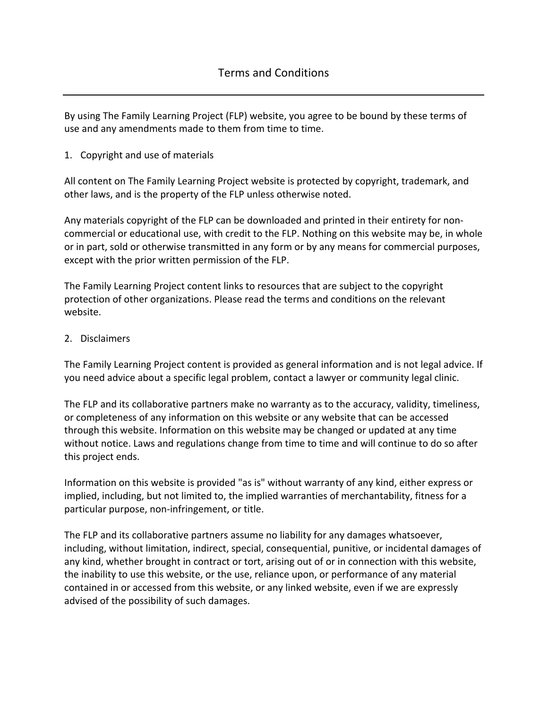By using The Family Learning Project (FLP) website, you agree to be bound by these terms of use and any amendments made to them from time to time.

1. Copyright and use of materials

All content on The Family Learning Project website is protected by copyright, trademark, and other laws, and is the property of the FLP unless otherwise noted.

Any materials copyright of the FLP can be downloaded and printed in their entirety for noncommercial or educational use, with credit to the FLP. Nothing on this website may be, in whole or in part, sold or otherwise transmitted in any form or by any means for commercial purposes, except with the prior written permission of the FLP.

The Family Learning Project content links to resources that are subject to the copyright protection of other organizations. Please read the terms and conditions on the relevant website.

2. Disclaimers

The Family Learning Project content is provided as general information and is not legal advice. If you need advice about a specific legal problem, contact a lawyer or community legal clinic.

The FLP and its collaborative partners make no warranty as to the accuracy, validity, timeliness, or completeness of any information on this website or any website that can be accessed through this website. Information on this website may be changed or updated at any time without notice. Laws and regulations change from time to time and will continue to do so after this project ends.

Information on this website is provided "as is" without warranty of any kind, either express or implied, including, but not limited to, the implied warranties of merchantability, fitness for a particular purpose, non-infringement, or title.

The FLP and its collaborative partners assume no liability for any damages whatsoever, including, without limitation, indirect, special, consequential, punitive, or incidental damages of any kind, whether brought in contract or tort, arising out of or in connection with this website, the inability to use this website, or the use, reliance upon, or performance of any material contained in or accessed from this website, or any linked website, even if we are expressly advised of the possibility of such damages.